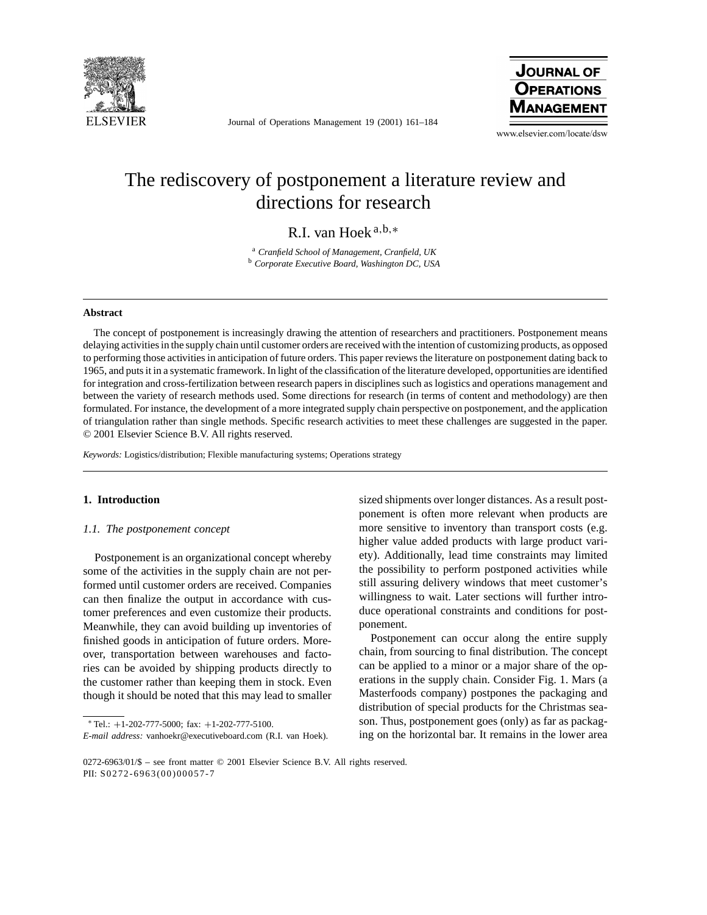

Journal of Operations Management 19 (2001) 161–184



www.elsevier.com/locate/dsw

# The rediscovery of postponement a literature review and directions for research

R.I. van Hoek <sup>a</sup>,b,<sup>∗</sup>

<sup>a</sup> *Cranfield School of Management, Cranfield, UK* <sup>b</sup> *Corporate Executive Board, Washington DC, USA*

## **Abstract**

The concept of postponement is increasingly drawing the attention of researchers and practitioners. Postponement means delaying activities in the supply chain until customer orders are received with the intention of customizing products, as opposed to performing those activities in anticipation of future orders. This paper reviews the literature on postponement dating back to 1965, and puts it in a systematic framework. In light of the classification of the literature developed, opportunities are identified for integration and cross-fertilization between research papers in disciplines such as logistics and operations management and between the variety of research methods used. Some directions for research (in terms of content and methodology) are then formulated. For instance, the development of a more integrated supply chain perspective on postponement, and the application of triangulation rather than single methods. Specific research activities to meet these challenges are suggested in the paper. © 2001 Elsevier Science B.V. All rights reserved.

*Keywords:* Logistics/distribution; Flexible manufacturing systems; Operations strategy

#### **1. Introduction**

## *1.1. The postponement concept*

Postponement is an organizational concept whereby some of the activities in the supply chain are not performed until customer orders are received. Companies can then finalize the output in accordance with customer preferences and even customize their products. Meanwhile, they can avoid building up inventories of finished goods in anticipation of future orders. Moreover, transportation between warehouses and factories can be avoided by shipping products directly to the customer rather than keeping them in stock. Even though it should be noted that this may lead to smaller

 $*$  Tel.: +1-202-777-5000; fax: +1-202-777-5100.

sized shipments over longer distances. As a result postponement is often more relevant when products are more sensitive to inventory than transport costs (e.g. higher value added products with large product variety). Additionally, lead time constraints may limited the possibility to perform postponed activities while still assuring delivery windows that meet customer's willingness to wait. Later sections will further introduce operational constraints and conditions for postponement.

Postponement can occur along the entire supply chain, from sourcing to final distribution. The concept can be applied to a minor or a major share of the operations in the supply chain. Consider Fig. 1. Mars (a Masterfoods company) postpones the packaging and distribution of special products for the Christmas season. Thus, postponement goes (only) as far as packaging on the horizontal bar. It remains in the lower area

*E-mail address:* vanhoekr@executiveboard.com (R.I. van Hoek).

<sup>0272-6963/01/\$ –</sup> see front matter © 2001 Elsevier Science B.V. All rights reserved. PII: S0272-6963(00)00057-7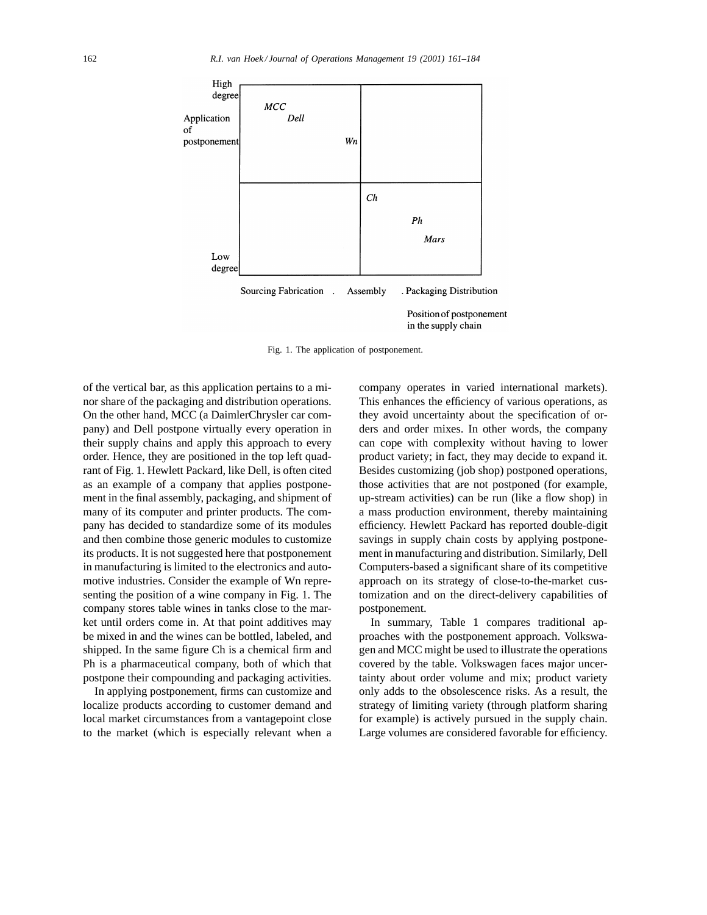

Fig. 1. The application of postponement.

of the vertical bar, as this application pertains to a minor share of the packaging and distribution operations. On the other hand, MCC (a DaimlerChrysler car company) and Dell postpone virtually every operation in their supply chains and apply this approach to every order. Hence, they are positioned in the top left quadrant of Fig. 1. Hewlett Packard, like Dell, is often cited as an example of a company that applies postponement in the final assembly, packaging, and shipment of many of its computer and printer products. The company has decided to standardize some of its modules and then combine those generic modules to customize its products. It is not suggested here that postponement in manufacturing is limited to the electronics and automotive industries. Consider the example of Wn representing the position of a wine company in Fig. 1. The company stores table wines in tanks close to the market until orders come in. At that point additives may be mixed in and the wines can be bottled, labeled, and shipped. In the same figure Ch is a chemical firm and Ph is a pharmaceutical company, both of which that postpone their compounding and packaging activities.

In applying postponement, firms can customize and localize products according to customer demand and local market circumstances from a vantagepoint close to the market (which is especially relevant when a company operates in varied international markets). This enhances the efficiency of various operations, as they avoid uncertainty about the specification of orders and order mixes. In other words, the company can cope with complexity without having to lower product variety; in fact, they may decide to expand it. Besides customizing (job shop) postponed operations, those activities that are not postponed (for example, up-stream activities) can be run (like a flow shop) in a mass production environment, thereby maintaining efficiency. Hewlett Packard has reported double-digit savings in supply chain costs by applying postponement in manufacturing and distribution. Similarly, Dell Computers-based a significant share of its competitive approach on its strategy of close-to-the-market customization and on the direct-delivery capabilities of postponement.

In summary, Table 1 compares traditional approaches with the postponement approach. Volkswagen and MCC might be used to illustrate the operations covered by the table. Volkswagen faces major uncertainty about order volume and mix; product variety only adds to the obsolescence risks. As a result, the strategy of limiting variety (through platform sharing for example) is actively pursued in the supply chain. Large volumes are considered favorable for efficiency.